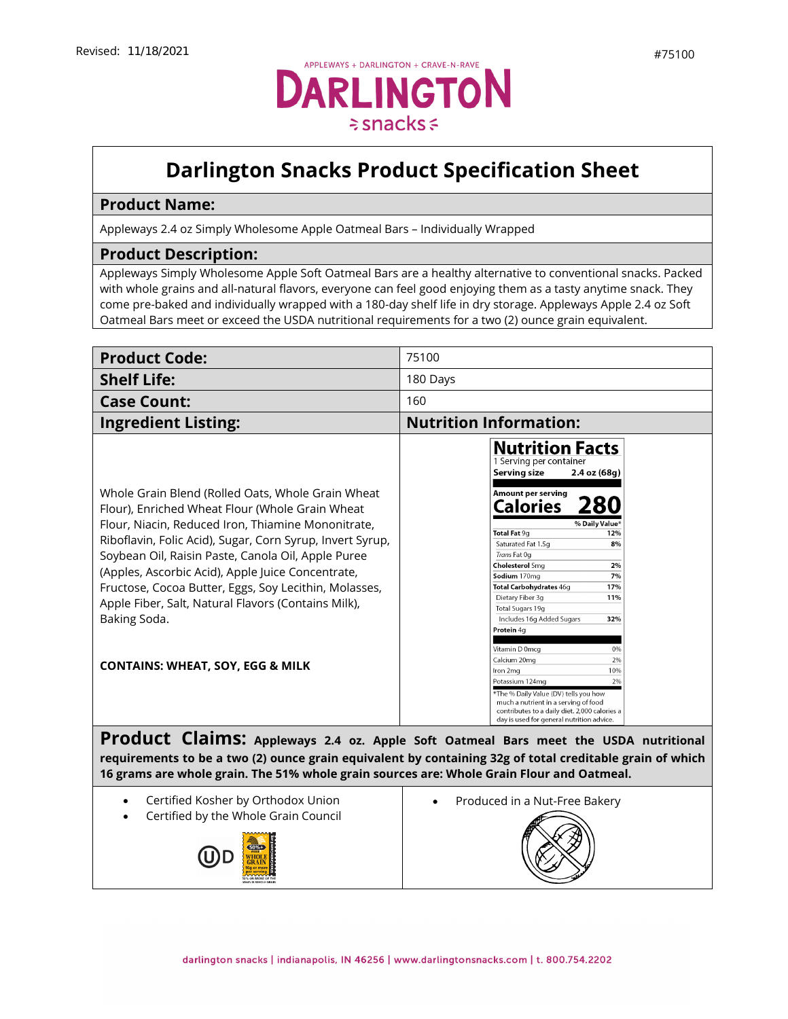## **Darlington Snacks Product Specification Sheet**

## **Product Name:**

Appleways 2.4 oz Simply Wholesome Apple Oatmeal Bars – Individually Wrapped

## **Product Description:**

(U)D

Appleways Simply Wholesome Apple Soft Oatmeal Bars are a healthy alternative to conventional snacks. Packed with whole grains and all-natural flavors, everyone can feel good enjoying them as a tasty anytime snack. They come pre-baked and individually wrapped with a 180-day shelf life in dry storage. Appleways Apple 2.4 oz Soft Oatmeal Bars meet or exceed the USDA nutritional requirements for a two (2) ounce grain equivalent.

| <b>Product Code:</b>                                                                                                                                                                                                                                                                                                                                                                                                                                                                                              | 75100                                                                                                                                                                                                                                                                                                                                                                                                                                                                                                                                                                                                                                                                                    |
|-------------------------------------------------------------------------------------------------------------------------------------------------------------------------------------------------------------------------------------------------------------------------------------------------------------------------------------------------------------------------------------------------------------------------------------------------------------------------------------------------------------------|------------------------------------------------------------------------------------------------------------------------------------------------------------------------------------------------------------------------------------------------------------------------------------------------------------------------------------------------------------------------------------------------------------------------------------------------------------------------------------------------------------------------------------------------------------------------------------------------------------------------------------------------------------------------------------------|
| <b>Shelf Life:</b>                                                                                                                                                                                                                                                                                                                                                                                                                                                                                                | 180 Days                                                                                                                                                                                                                                                                                                                                                                                                                                                                                                                                                                                                                                                                                 |
| <b>Case Count:</b>                                                                                                                                                                                                                                                                                                                                                                                                                                                                                                | 160                                                                                                                                                                                                                                                                                                                                                                                                                                                                                                                                                                                                                                                                                      |
| <b>Ingredient Listing:</b>                                                                                                                                                                                                                                                                                                                                                                                                                                                                                        | <b>Nutrition Information:</b>                                                                                                                                                                                                                                                                                                                                                                                                                                                                                                                                                                                                                                                            |
| Whole Grain Blend (Rolled Oats, Whole Grain Wheat<br>Flour), Enriched Wheat Flour (Whole Grain Wheat<br>Flour, Niacin, Reduced Iron, Thiamine Mononitrate,<br>Riboflavin, Folic Acid), Sugar, Corn Syrup, Invert Syrup,<br>Soybean Oil, Raisin Paste, Canola Oil, Apple Puree<br>(Apples, Ascorbic Acid), Apple Juice Concentrate,<br>Fructose, Cocoa Butter, Eggs, Soy Lecithin, Molasses,<br>Apple Fiber, Salt, Natural Flavors (Contains Milk),<br>Baking Soda.<br><b>CONTAINS: WHEAT, SOY, EGG &amp; MILK</b> | <b>Nutrition Facts</b><br>1 Serving per container<br>Serving size<br>2.4 oz (68g)<br>Amount per serving<br><b>Calories</b><br>280<br>% Daily Value*<br>Total Fat 9g<br>12%<br>Saturated Fat 1.5g<br>8%<br>Trans Fat Og<br><b>Cholesterol 5mg</b><br>2%<br>7%<br>Sodium 170mg<br>Total Carbohydrates 46g<br>17%<br>Dietary Fiber 3g<br>11%<br>Total Sugars 19g<br>Includes 16g Added Sugars<br>32%<br>Protein 4q<br>Vitamin D 0mcg<br>0%<br>Calcium 20mg<br>2%<br>10%<br>Iron 2mg<br>2%<br>Potassium 124mg<br>*The % Daily Value (DV) tells you how<br>much a nutrient in a serving of food<br>contributes to a daily diet. 2,000 calories a<br>day is used for general nutrition advice. |
| Product Claims: Appleways 2.4 oz. Apple Soft Oatmeal Bars meet the USDA nutritional<br>requirements to be a two (2) ounce grain equivalent by containing 32g of total creditable grain of which<br>16 grams are whole grain. The 51% whole grain sources are: Whole Grain Flour and Oatmeal.                                                                                                                                                                                                                      |                                                                                                                                                                                                                                                                                                                                                                                                                                                                                                                                                                                                                                                                                          |
|                                                                                                                                                                                                                                                                                                                                                                                                                                                                                                                   |                                                                                                                                                                                                                                                                                                                                                                                                                                                                                                                                                                                                                                                                                          |
| Certified Kosher by Orthodox Union<br>$\bullet$<br>Certified by the Whole Grain Council                                                                                                                                                                                                                                                                                                                                                                                                                           | Produced in a Nut-Free Bakery                                                                                                                                                                                                                                                                                                                                                                                                                                                                                                                                                                                                                                                            |
|                                                                                                                                                                                                                                                                                                                                                                                                                                                                                                                   |                                                                                                                                                                                                                                                                                                                                                                                                                                                                                                                                                                                                                                                                                          |
| <b>SO%D</b>                                                                                                                                                                                                                                                                                                                                                                                                                                                                                                       |                                                                                                                                                                                                                                                                                                                                                                                                                                                                                                                                                                                                                                                                                          |